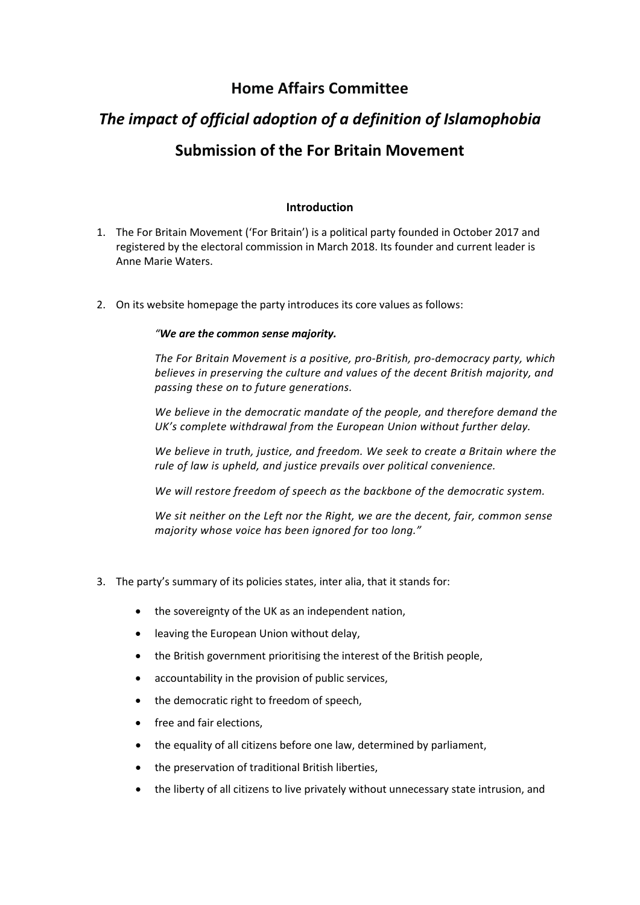# **Home Affairs Committee**

# *The impact of official adoption of a definition of Islamophobia* **Submission of the For Britain Movement**

# **Introduction**

- 1. The For Britain Movement ('For Britain') is a political party founded in October 2017 and registered by the electoral commission in March 2018. Its founder and current leader is Anne Marie Waters.
- 2. On its website homepage the party introduces its core values as follows:

# *"We are the common sense majority.*

*The For Britain Movement is a positive, pro-British, pro-democracy party, which believes in preserving the culture and values of the decent British majority, and passing these on to future generations.*

*We believe in the democratic mandate of the people, and therefore demand the UK's complete withdrawal from the European Union without further delay.*

*We believe in truth, justice, and freedom. We seek to create a Britain where the rule of law is upheld, and justice prevails over political convenience.*

*We will restore freedom of speech as the backbone of the democratic system.*

*We sit neither on the Left nor the Right, we are the decent, fair, common sense majority whose voice has been ignored for too long."*

- 3. The party's summary of its policies states, inter alia, that it stands for:
	- the sovereignty of the UK as an independent nation,
	- leaving the European Union without delay,
	- the British government prioritising the interest of the British people,
	- accountability in the provision of public services,
	- the democratic right to freedom of speech,
	- free and fair elections.
	- the equality of all citizens before one law, determined by parliament,
	- the preservation of traditional British liberties,
	- the liberty of all citizens to live privately without unnecessary state intrusion, and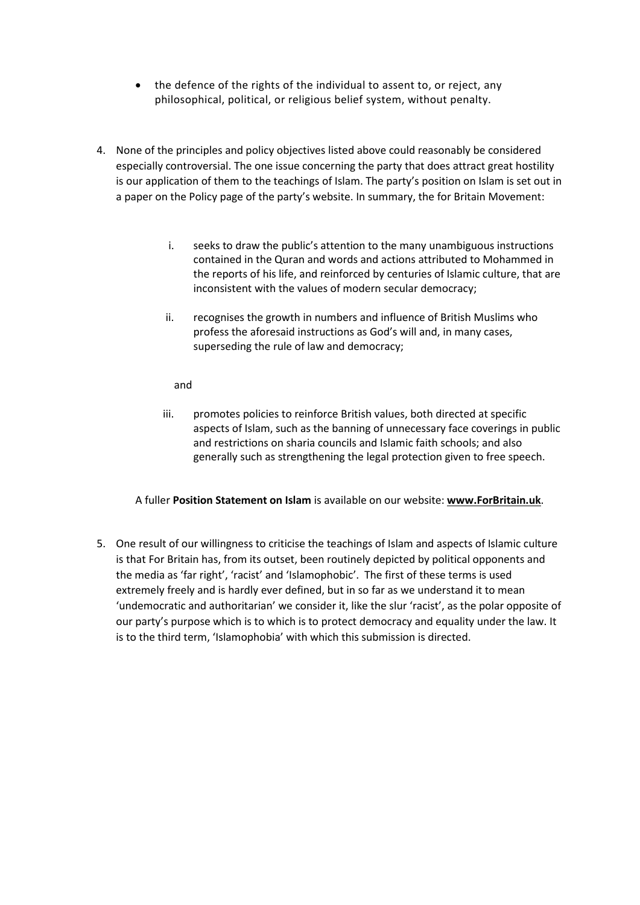- the defence of the rights of the individual to assent to, or reject, any philosophical, political, or religious belief system, without penalty.
- 4. None of the principles and policy objectives listed above could reasonably be considered especially controversial. The one issue concerning the party that does attract great hostility is our application of them to the teachings of Islam. The party's position on Islam is set out in a paper on the Policy page of the party's website. In summary, the for Britain Movement:
	- i. seeks to draw the public's attention to the many unambiguous instructions contained in the Quran and words and actions attributed to Mohammed in the reports of his life, and reinforced by centuries of Islamic culture, that are inconsistent with the values of modern secular democracy;
	- ii. recognises the growth in numbers and influence of British Muslims who profess the aforesaid instructions as God's will and, in many cases, superseding the rule of law and democracy;

# and

iii. promotes policies to reinforce British values, both directed at specific aspects of Islam, such as the banning of unnecessary face coverings in public and restrictions on sharia councils and Islamic faith schools; and also generally such as strengthening the legal protection given to free speech.

# A fuller **Position Statement on Islam** is available on our website: **www.ForBritain.uk**.

5. One result of our willingness to criticise the teachings of Islam and aspects of Islamic culture is that For Britain has, from its outset, been routinely depicted by political opponents and the media as 'far right', 'racist' and 'Islamophobic'. The first of these terms is used extremely freely and is hardly ever defined, but in so far as we understand it to mean 'undemocratic and authoritarian' we consider it, like the slur 'racist', as the polar opposite of our party's purpose which is to which is to protect democracy and equality under the law. It is to the third term, 'Islamophobia' with which this submission is directed.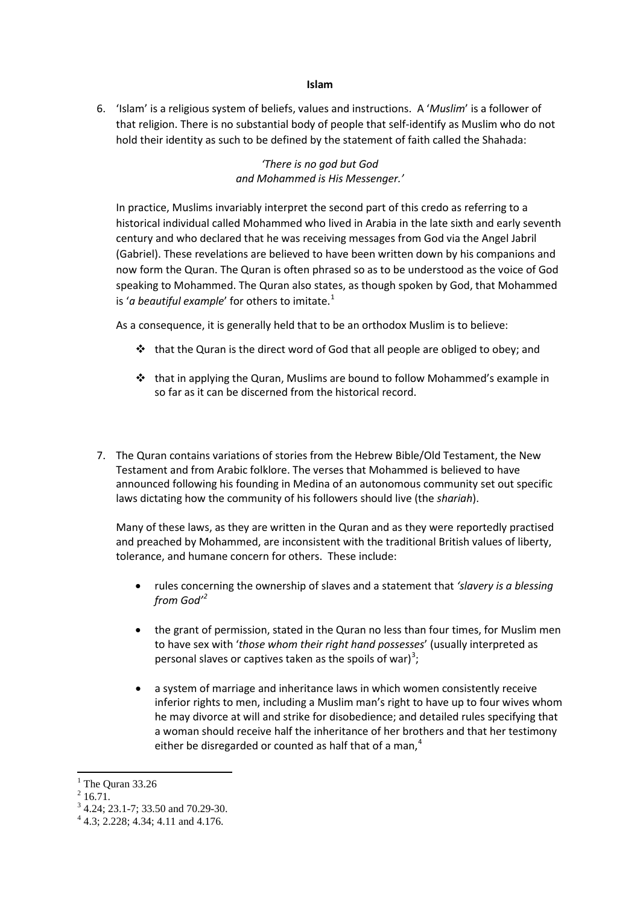#### **Islam**

6. 'Islam' is a religious system of beliefs, values and instructions. A '*Muslim*' is a follower of that religion. There is no substantial body of people that self-identify as Muslim who do not hold their identity as such to be defined by the statement of faith called the Shahada:

> *'There is no god but God and Mohammed is His Messenger.'*

In practice, Muslims invariably interpret the second part of this credo as referring to a historical individual called Mohammed who lived in Arabia in the late sixth and early seventh century and who declared that he was receiving messages from God via the Angel Jabril (Gabriel). These revelations are believed to have been written down by his companions and now form the Quran. The Quran is often phrased so as to be understood as the voice of God speaking to Mohammed. The Quran also states, as though spoken by God, that Mohammed is 'a beautiful example' for others to imitate.<sup>[1](#page-2-0)</sup>

As a consequence, it is generally held that to be an orthodox Muslim is to believe:

- \* that the Quran is the direct word of God that all people are obliged to obey; and
- $\div$  that in applying the Quran, Muslims are bound to follow Mohammed's example in so far as it can be discerned from the historical record.
- 7. The Quran contains variations of stories from the Hebrew Bible/Old Testament, the New Testament and from Arabic folklore. The verses that Mohammed is believed to have announced following his founding in Medina of an autonomous community set out specific laws dictating how the community of his followers should live (the *shariah*).

Many of these laws, as they are written in the Quran and as they were reportedly practised and preached by Mohammed, are inconsistent with the traditional British values of liberty, tolerance, and humane concern for others. These include:

- rules concerning the ownership of slaves and a statement that *'slavery is a blessing from God'[2](#page-2-1)*
- the grant of permission, stated in the Quran no less than four times, for Muslim men to have sex with '*those whom their right hand possesses*' (usually interpreted as personal slaves or captives taken as the spoils of war)<sup>[3](#page-2-2)</sup>;
- a system of marriage and inheritance laws in which women consistently receive inferior rights to men, including a Muslim man's right to have up to four wives whom he may divorce at will and strike for disobedience; and detailed rules specifying that a woman should receive half the inheritance of her brothers and that her testimony either be disregarded or counted as half that of a man, $4$

 $1$  The Quran 33.26

<span id="page-2-1"></span><span id="page-2-0"></span> $2$  16.71.

<span id="page-2-2"></span> $3^3$  4.24; 23.1-7; 33.50 and 70.29-30.<br> $4^4$  4.3; 2.228; 4.34; 4.11 and 4.176.

<span id="page-2-3"></span>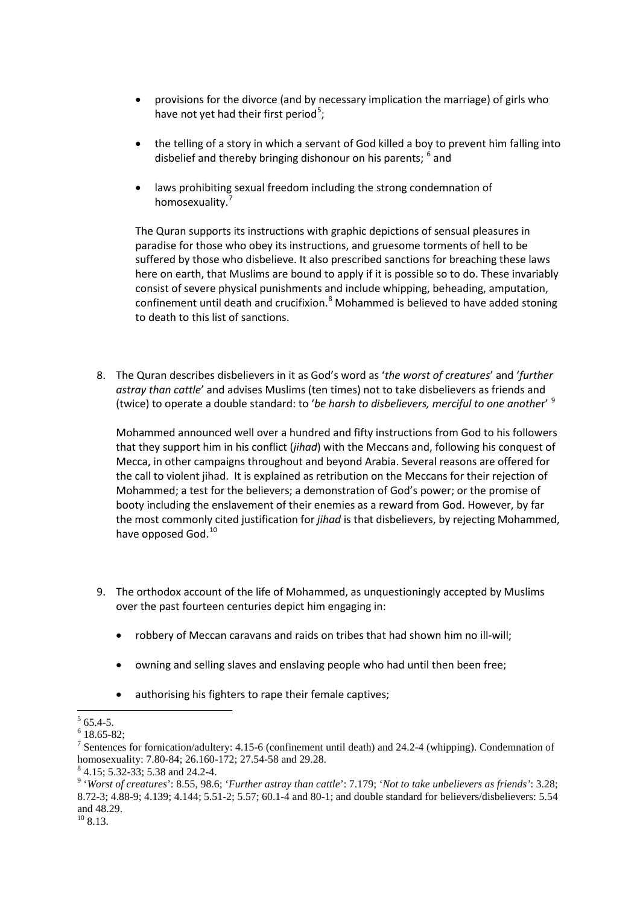- provisions for the divorce (and by necessary implication the marriage) of girls who have not yet had their first period<sup>[5](#page-3-0)</sup>;
- the telling of a story in which a servant of God killed a boy to prevent him falling into disbelief and thereby bringing dishonour on his parents; <sup>[6](#page-3-1)</sup> and
- laws prohibiting sexual freedom including the strong condemnation of homosexuality.<sup>[7](#page-3-2)</sup>

The Quran supports its instructions with graphic depictions of sensual pleasures in paradise for those who obey its instructions, and gruesome torments of hell to be suffered by those who disbelieve. It also prescribed sanctions for breaching these laws here on earth, that Muslims are bound to apply if it is possible so to do. These invariably consist of severe physical punishments and include whipping, beheading, amputation, confinement until death and crucifixion. $8$  Mohammed is believed to have added stoning to death to this list of sanctions.

8. The Quran describes disbelievers in it as God's word as '*the worst of creatures*' and '*further astray than cattle*' and advises Muslims (ten times) not to take disbelievers as friends and (twice) to operate a double standard: to '*be harsh to disbelievers, merciful to one anothe*r' [9](#page-3-4)

Mohammed announced well over a hundred and fifty instructions from God to his followers that they support him in his conflict (*jihad*) with the Meccans and, following his conquest of Mecca, in other campaigns throughout and beyond Arabia. Several reasons are offered for the call to violent jihad. It is explained as retribution on the Meccans for their rejection of Mohammed; a test for the believers; a demonstration of God's power; or the promise of booty including the enslavement of their enemies as a reward from God. However, by far the most commonly cited justification for *jihad* is that disbelievers, by rejecting Mohammed, have opposed God.<sup>[10](#page-3-5)</sup>

- 9. The orthodox account of the life of Mohammed, as unquestioningly accepted by Muslims over the past fourteen centuries depict him engaging in:
	- robbery of Meccan caravans and raids on tribes that had shown him no ill-will;
	- owning and selling slaves and enslaving people who had until then been free;
	- authorising his fighters to rape their female captives;

<span id="page-3-2"></span><span id="page-3-1"></span>

<span id="page-3-0"></span><sup>&</sup>lt;sup>5</sup> 65.4-5.<br><sup>6</sup> 18.65-82;<br><sup>7</sup> Sentences for fornication/adultery: 4.15-6 (confinement until death) and 24.2-4 (whipping). Condemnation of homosexuality: 7.80-84; 26.160-172; 27.54-58 and 29.28.<br><sup>8</sup> 4.15; 5.32-33; 5.38 and 24.2-4.<br><sup>9</sup> 'Worst of creatures': 8.55, 98.6; 'Further astray than cattle': 7.179; 'Not to take unbelievers as friends': 3.28;

<span id="page-3-3"></span>

<span id="page-3-4"></span><sup>8.72-3; 4.88-9; 4.139; 4.144; 5.51-2; 5.57; 60.1-4</sup> and 80-1; and double standard for believers/disbelievers: 5.54 and 48.29.

<span id="page-3-5"></span> $10$  8.13.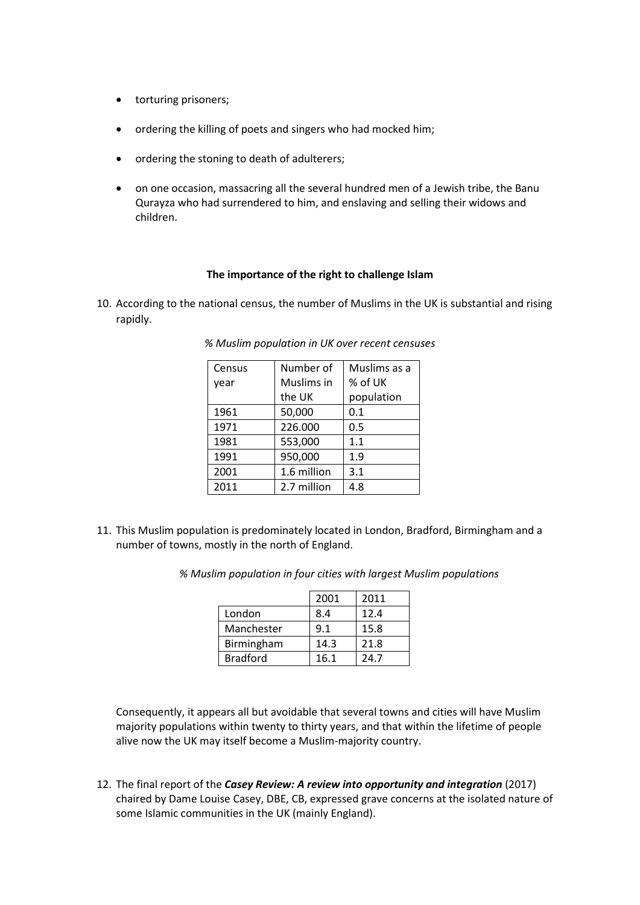- torturing prisoners;
- ordering the killing of poets and singers who had mocked him;
- ordering the stoning to death of adulterers;
- on one occasion, massacring all the several hundred men of a Jewish tribe, the Banu Qurayza who had surrendered to him, and enslaving and selling their widows and children.

# **The importance of the right to challenge Islam**

10. According to the national census, the number of Muslims in the UK is substantial and rising rapidly.

| Census | Number of   | Muslims as a |  |
|--------|-------------|--------------|--|
| year   | Muslims in  | % of UK      |  |
|        | the UK      | population   |  |
| 1961   | 50,000      | 0.1          |  |
| 1971   | 226.000     | 0.5          |  |
| 1981   | 553,000     | 1.1          |  |
| 1991   | 950,000     | 1.9          |  |
| 2001   | 1.6 million | 3.1          |  |
| 2011   | 2.7 million | 4.8          |  |

*% Muslim population in UK over recent censuses*

11. This Muslim population is predominately located in London, Bradford, Birmingham and a number of towns, mostly in the north of England.

*% Muslim population in four cities with largest Muslim populations*

|                 | 2001 | 2011 |
|-----------------|------|------|
| London          | 8.4  | 12.4 |
| Manchester      | 9.1  | 15.8 |
| Birmingham      | 14.3 | 21.8 |
| <b>Bradford</b> | 16.1 | 24.7 |

Consequently, it appears all but avoidable that several towns and cities will have Muslim majority populations within twenty to thirty years, and that within the lifetime of people alive now the UK may itself become a Muslim-majority country.

12. The final report of the *Casey Review: A review into opportunity and integration* (2017) chaired by Dame Louise Casey, DBE, CB, expressed grave concerns at the isolated nature of some Islamic communities in the UK (mainly England).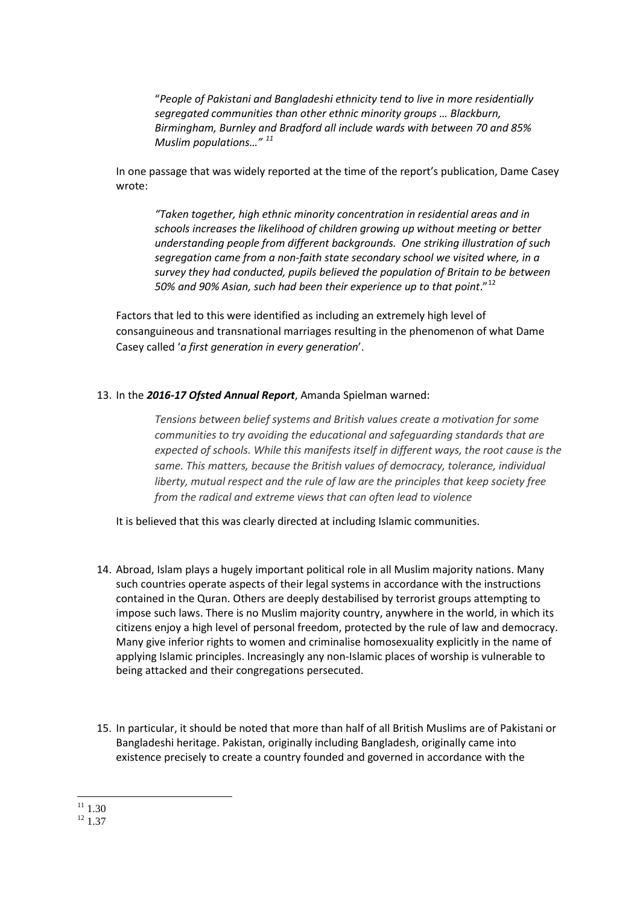"*People of Pakistani and Bangladeshi ethnicity tend to live in more residentially segregated communities than other ethnic minority groups … Blackburn, Birmingham, Burnley and Bradford all include wards with between 70 and 85% Muslim populations…" [11](#page-5-0)*

In one passage that was widely reported at the time of the report's publication, Dame Casey wrote:

*"Taken together, high ethnic minority concentration in residential areas and in schools increases the likelihood of children growing up without meeting or better understanding people from different backgrounds. One striking illustration of such segregation came from a non-faith state secondary school we visited where, in a survey they had conducted, pupils believed the population of Britain to be between 50% and 90% Asian, such had been their experience up to that point*."[12](#page-5-1)

Factors that led to this were identified as including an extremely high level of consanguineous and transnational marriages resulting in the phenomenon of what Dame Casey called '*a first generation in every generation*'.

# 13. In the *2016-17 Ofsted Annual Report*, Amanda Spielman warned:

*Tensions between belief systems and British values create a motivation for some communities to try avoiding the educational and safeguarding standards that are expected of schools. While this manifests itself in different ways, the root cause is the same. This matters, because the British values of democracy, tolerance, individual liberty, mutual respect and the rule of law are the principles that keep society free from the radical and extreme views that can often lead to violence*

It is believed that this was clearly directed at including Islamic communities.

- 14. Abroad, Islam plays a hugely important political role in all Muslim majority nations. Many such countries operate aspects of their legal systems in accordance with the instructions contained in the Quran. Others are deeply destabilised by terrorist groups attempting to impose such laws. There is no Muslim majority country, anywhere in the world, in which its citizens enjoy a high level of personal freedom, protected by the rule of law and democracy. Many give inferior rights to women and criminalise homosexuality explicitly in the name of applying Islamic principles. Increasingly any non-Islamic places of worship is vulnerable to being attacked and their congregations persecuted.
- 15. In particular, it should be noted that more than half of all British Muslims are of Pakistani or Bangladeshi heritage. Pakistan, originally including Bangladesh, originally came into existence precisely to create a country founded and governed in accordance with the

<span id="page-5-1"></span><span id="page-5-0"></span> $\frac{11}{12}$  1.30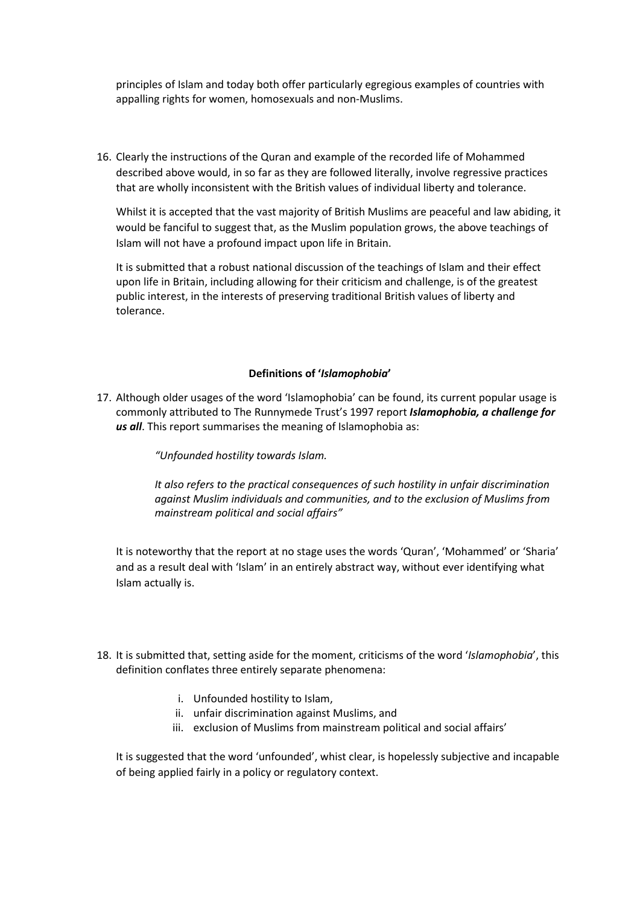principles of Islam and today both offer particularly egregious examples of countries with appalling rights for women, homosexuals and non-Muslims.

16. Clearly the instructions of the Quran and example of the recorded life of Mohammed described above would, in so far as they are followed literally, involve regressive practices that are wholly inconsistent with the British values of individual liberty and tolerance.

Whilst it is accepted that the vast majority of British Muslims are peaceful and law abiding, it would be fanciful to suggest that, as the Muslim population grows, the above teachings of Islam will not have a profound impact upon life in Britain.

It is submitted that a robust national discussion of the teachings of Islam and their effect upon life in Britain, including allowing for their criticism and challenge, is of the greatest public interest, in the interests of preserving traditional British values of liberty and tolerance.

#### **Definitions of '***Islamophobia***'**

17. Although older usages of the word 'Islamophobia' can be found, its current popular usage is commonly attributed to The Runnymede Trust's 1997 report *Islamophobia, a challenge for us all*. This report summarises the meaning of Islamophobia as:

*"Unfounded hostility towards Islam.* 

*It also refers to the practical consequences of such hostility in unfair discrimination against Muslim individuals and communities, and to the exclusion of Muslims from mainstream political and social affairs"*

It is noteworthy that the report at no stage uses the words 'Quran', 'Mohammed' or 'Sharia' and as a result deal with 'Islam' in an entirely abstract way, without ever identifying what Islam actually is.

- 18. It is submitted that, setting aside for the moment, criticisms of the word '*Islamophobia*', this definition conflates three entirely separate phenomena:
	- i. Unfounded hostility to Islam,
	- ii. unfair discrimination against Muslims, and
	- iii. exclusion of Muslims from mainstream political and social affairs'

It is suggested that the word 'unfounded', whist clear, is hopelessly subjective and incapable of being applied fairly in a policy or regulatory context.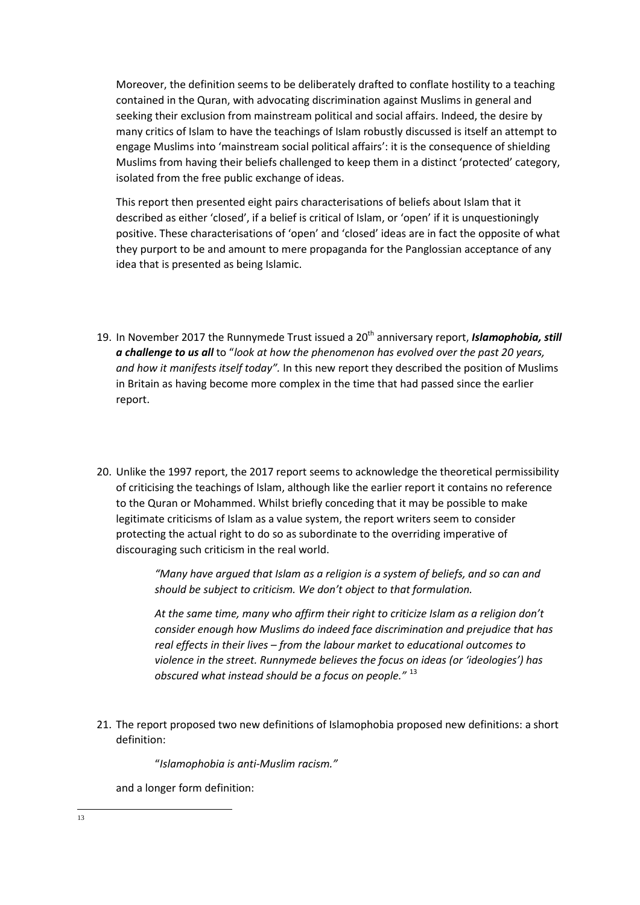Moreover, the definition seems to be deliberately drafted to conflate hostility to a teaching contained in the Quran, with advocating discrimination against Muslims in general and seeking their exclusion from mainstream political and social affairs. Indeed, the desire by many critics of Islam to have the teachings of Islam robustly discussed is itself an attempt to engage Muslims into 'mainstream social political affairs': it is the consequence of shielding Muslims from having their beliefs challenged to keep them in a distinct 'protected' category, isolated from the free public exchange of ideas.

This report then presented eight pairs characterisations of beliefs about Islam that it described as either 'closed', if a belief is critical of Islam, or 'open' if it is unquestioningly positive. These characterisations of 'open' and 'closed' ideas are in fact the opposite of what they purport to be and amount to mere propaganda for the Panglossian acceptance of any idea that is presented as being Islamic.

- 19. In November 2017 the Runnymede Trust issued a 20th anniversary report, *Islamophobia, still a challenge to us all* to "*look at how the phenomenon has evolved over the past 20 years, and how it manifests itself today".* In this new report they described the position of Muslims in Britain as having become more complex in the time that had passed since the earlier report.
- 20. Unlike the 1997 report, the 2017 report seems to acknowledge the theoretical permissibility of criticising the teachings of Islam, although like the earlier report it contains no reference to the Quran or Mohammed. Whilst briefly conceding that it may be possible to make legitimate criticisms of Islam as a value system, the report writers seem to consider protecting the actual right to do so as subordinate to the overriding imperative of discouraging such criticism in the real world.

*"Many have argued that Islam as a religion is a system of beliefs, and so can and should be subject to criticism. We don't object to that formulation.* 

*At the same time, many who affirm their right to criticize Islam as a religion don't consider enough how Muslims do indeed face discrimination and prejudice that has real effects in their lives – from the labour market to educational outcomes to violence in the street. Runnymede believes the focus on ideas (or 'ideologies') has obscured what instead should be a focus on people."* [13](#page-7-0)

21. The report proposed two new definitions of Islamophobia proposed new definitions: a short definition:

"*Islamophobia is anti-Muslim racism."*

and a longer form definition:

<span id="page-7-0"></span>13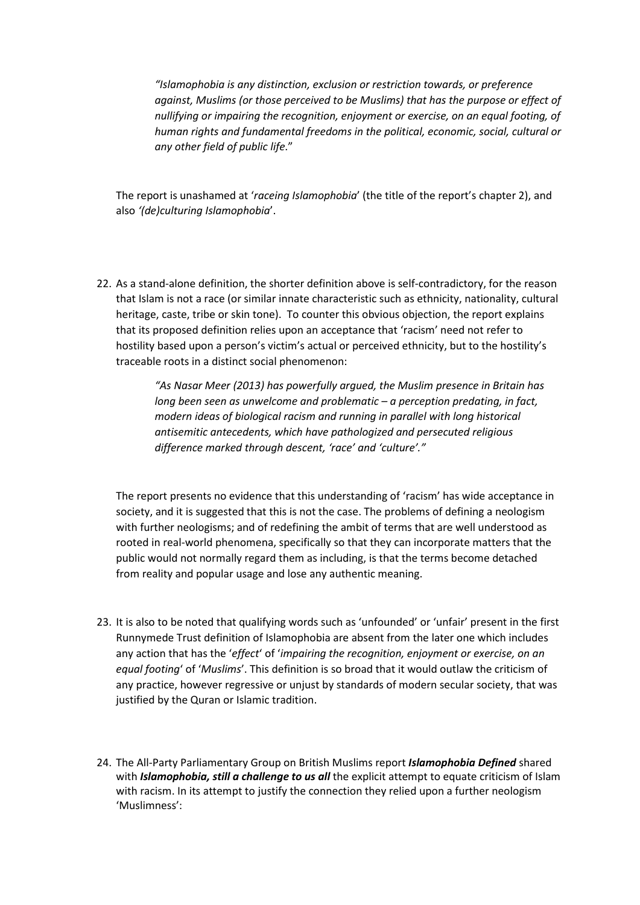*"Islamophobia is any distinction, exclusion or restriction towards, or preference against, Muslims (or those perceived to be Muslims) that has the purpose or effect of nullifying or impairing the recognition, enjoyment or exercise, on an equal footing, of human rights and fundamental freedoms in the political, economic, social, cultural or any other field of public life*."

The report is unashamed at '*raceing Islamophobia*' (the title of the report's chapter 2), and also *'(de)culturing Islamophobia*'.

22. As a stand-alone definition, the shorter definition above is self-contradictory, for the reason that Islam is not a race (or similar innate characteristic such as ethnicity, nationality, cultural heritage, caste, tribe or skin tone). To counter this obvious objection, the report explains that its proposed definition relies upon an acceptance that 'racism' need not refer to hostility based upon a person's victim's actual or perceived ethnicity, but to the hostility's traceable roots in a distinct social phenomenon:

> *"As Nasar Meer (2013) has powerfully argued, the Muslim presence in Britain has long been seen as unwelcome and problematic – a perception predating, in fact, modern ideas of biological racism and running in parallel with long historical antisemitic antecedents, which have pathologized and persecuted religious difference marked through descent, 'race' and 'culture'."*

The report presents no evidence that this understanding of 'racism' has wide acceptance in society, and it is suggested that this is not the case. The problems of defining a neologism with further neologisms; and of redefining the ambit of terms that are well understood as rooted in real-world phenomena, specifically so that they can incorporate matters that the public would not normally regard them as including, is that the terms become detached from reality and popular usage and lose any authentic meaning.

- 23. It is also to be noted that qualifying words such as 'unfounded' or 'unfair' present in the first Runnymede Trust definition of Islamophobia are absent from the later one which includes any action that has the '*effect*' of '*impairing the recognition, enjoyment or exercise, on an equal footing*' of '*Muslims*'. This definition is so broad that it would outlaw the criticism of any practice, however regressive or unjust by standards of modern secular society, that was justified by the Quran or Islamic tradition.
- 24. The All-Party Parliamentary Group on British Muslims report *Islamophobia Defined* shared with *Islamophobia, still a challenge to us all* the explicit attempt to equate criticism of Islam with racism. In its attempt to justify the connection they relied upon a further neologism 'Muslimness':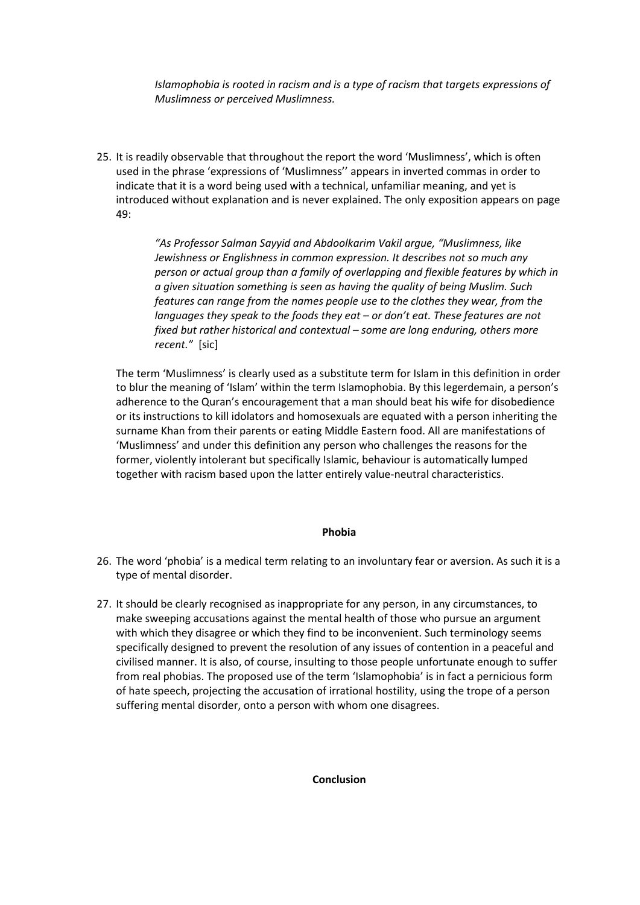*Islamophobia is rooted in racism and is a type of racism that targets expressions of Muslimness or perceived Muslimness.*

25. It is readily observable that throughout the report the word 'Muslimness', which is often used in the phrase 'expressions of 'Muslimness'' appears in inverted commas in order to indicate that it is a word being used with a technical, unfamiliar meaning, and yet is introduced without explanation and is never explained. The only exposition appears on page 49:

> *"As Professor Salman Sayyid and Abdoolkarim Vakil argue, "Muslimness, like Jewishness or Englishness in common expression. It describes not so much any person or actual group than a family of overlapping and flexible features by which in a given situation something is seen as having the quality of being Muslim. Such features can range from the names people use to the clothes they wear, from the languages they speak to the foods they eat – or don't eat. These features are not fixed but rather historical and contextual – some are long enduring, others more recent."* [sic]

The term 'Muslimness' is clearly used as a substitute term for Islam in this definition in order to blur the meaning of 'Islam' within the term Islamophobia. By this legerdemain, a person's adherence to the Quran's encouragement that a man should beat his wife for disobedience or its instructions to kill idolators and homosexuals are equated with a person inheriting the surname Khan from their parents or eating Middle Eastern food. All are manifestations of 'Muslimness' and under this definition any person who challenges the reasons for the former, violently intolerant but specifically Islamic, behaviour is automatically lumped together with racism based upon the latter entirely value-neutral characteristics.

# **Phobia**

- 26. The word 'phobia' is a medical term relating to an involuntary fear or aversion. As such it is a type of mental disorder.
- 27. It should be clearly recognised as inappropriate for any person, in any circumstances, to make sweeping accusations against the mental health of those who pursue an argument with which they disagree or which they find to be inconvenient. Such terminology seems specifically designed to prevent the resolution of any issues of contention in a peaceful and civilised manner. It is also, of course, insulting to those people unfortunate enough to suffer from real phobias. The proposed use of the term 'Islamophobia' is in fact a pernicious form of hate speech, projecting the accusation of irrational hostility, using the trope of a person suffering mental disorder, onto a person with whom one disagrees.

**Conclusion**